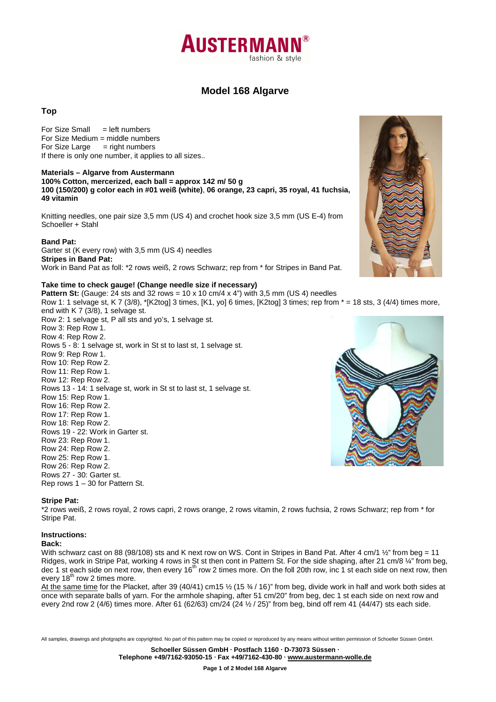

# **Model 168 Algarve**

## **Top**

 $For Size Small = left numbers$ For Size Medium = middle numbers For Size Large  $=$  right numbers If there is only one number, it applies to all sizes..

### **Materials – Algarve from Austermann**

**100% Cotton, mercerized, each ball = approx 142 m/ 50 g**

**100 (150/200) g color each in #01 weiß (white)**, **06 orange, 23 capri, 35 royal, 41 fuchsia, 49 vitamin**

Knitting needles, one pair size 3,5 mm (US 4) and crochet hook size 3,5 mm (US E-4) from Schoeller + Stahl

### **Band Pat:**

Garter st (K every row) with 3,5 mm (US 4) needles **Stripes in Band Pat:**  Work in Band Pat as foll: \*2 rows weiß, 2 rows Schwarz; rep from \* for Stripes in Band Pat.

#### **Take time to check gauge! (Change needle size if necessary)**

**Pattern St:** (Gauge: 24 sts and 32 rows = 10 x 10 cm/4 x 4") with 3,5 mm (US 4) needles Row 1: 1 selvage st, K 7 (3/8),  $KZtog$  3 times,  $[K1, yo]$  6 times,  $[K2tog]$  3 times; rep from  $* = 18$  sts, 3 (4/4) times more,

end with K 7 (3/8), 1 selvage st. Row 2: 1 selvage st, P all sts and yo's, 1 selvage st. Row 3: Rep Row 1. Row 4: Rep Row 2. Rows 5 - 8: 1 selvage st, work in St st to last st, 1 selvage st. Row 9: Rep Row 1. Row 10: Rep Row 2. Row 11: Rep Row 1. Row 12: Rep Row 2. Rows 13 - 14: 1 selvage st, work in St st to last st, 1 selvage st. Row 15: Rep Row 1. Row 16: Rep Row 2. Row 17: Rep Row 1. Row 18: Rep Row 2. Rows 19 - 22: Work in Garter st. Row 23: Rep Row 1. Row 24: Rep Row 2. Row 25: Rep Row 1. Row 26: Rep Row 2. Rows 27 - 30: Garter st. Rep rows 1 – 30 for Pattern St.





### **Stripe Pat:**

\*2 rows weiß, 2 rows royal, 2 rows capri, 2 rows orange, 2 rows vitamin, 2 rows fuchsia, 2 rows Schwarz; rep from \* for Stripe Pat.

#### **Instructions:**

### **Back:**

With schwarz cast on 88 (98/108) sts and K next row on WS. Cont in Stripes in Band Pat. After 4 cm/1  $\frac{1}{2}$ " from beg = 11 Ridges, work in Stripe Pat, working 4 rows in St st then cont in Pattern St. For the side shaping, after 21 cm/8 ¼" from beg, dec 1 st each side on next row, then every 16<sup>th</sup> row 2 times more. On the foll 20th row, inc 1 st each side on next row, then every  $18<sup>th</sup>$  row 2 times more.

At the same time for the Placket, after 39 (40/41) cm15 ½ (15 ¾ / 16)" from beg, divide work in half and work both sides at once with separate balls of yarn. For the armhole shaping, after 51 cm/20" from beg, dec 1 st each side on next row and every 2nd row 2 (4/6) times more. After 61 (62/63) cm/24 (24  $\frac{1}{2}$  / 25)" from beg, bind off rem 41 (44/47) sts each side.

All samples, drawings and photgraphs are copyrighted. No part of this pattern may be copied or reproduced by any means without written permission of Schoeller Süssen GmbH.